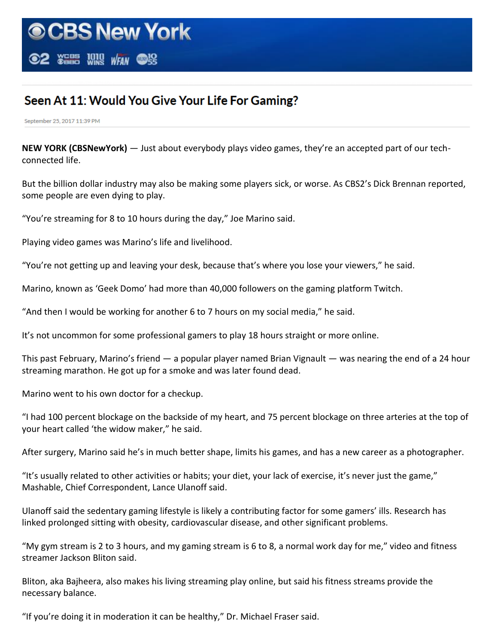## Seen At 11: Would You Give Your Life For Gaming?

September 25, 2017 11:39 PM

**NEW YORK (CBSNewYork)** — Just about everybody plays video games, they're an accepted part of our techconnected life.

But the billion dollar industry may also be making some players sick, or worse. As CBS2's Dick Brennan reported, some people are even dying to play.

"You're streaming for 8 to 10 hours during the day," Joe Marino said.

Playing video games was Marino's life and livelihood.

"You're not getting up and leaving your desk, because that's where you lose your viewers," he said.

Marino, known as 'Geek Domo' had more than 40,000 followers on the gaming platform Twitch.

"And then I would be working for another 6 to 7 hours on my social media," he said.

It's not uncommon for some professional gamers to play 18 hours straight or more online.

This past February, Marino's friend — a popular player named Brian Vignault — was nearing the end of a 24 hour streaming marathon. He got up for a smoke and was later found dead.

Marino went to his own doctor for a checkup.

"I had 100 percent blockage on the backside of my heart, and 75 percent blockage on three arteries at the top of your heart called 'the widow maker," he said.

After surgery, Marino said he's in much better shape, limits his games, and has a new career as a photographer.

"It's usually related to other activities or habits; your diet, your lack of exercise, it's never just the game," Mashable, Chief Correspondent, Lance Ulanoff said.

Ulanoff said the sedentary gaming lifestyle is likely a contributing factor for some gamers' ills. Research has linked prolonged sitting with obesity, cardiovascular disease, and other significant problems.

"My gym stream is 2 to 3 hours, and my gaming stream is 6 to 8, a normal work day for me," video and fitness streamer Jackson Bliton said.

Bliton, aka Bajheera, also makes his living streaming play online, but said his fitness streams provide the necessary balance.

"If you're doing it in moderation it can be healthy," Dr. Michael Fraser said.